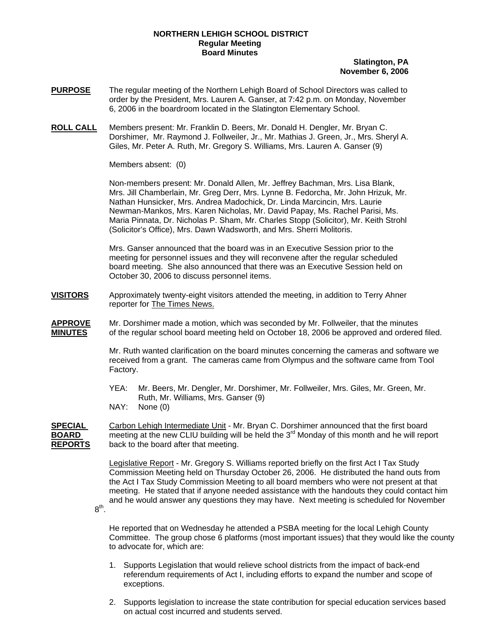# **NORTHERN LEHIGH SCHOOL DISTRICT Regular Meeting Board Minutes**

# **Slatington, PA November 6, 2006**

- **PURPOSE** The regular meeting of the Northern Lehigh Board of School Directors was called to order by the President, Mrs. Lauren A. Ganser, at 7:42 p.m. on Monday, November 6, 2006 in the boardroom located in the Slatington Elementary School.
- **ROLL CALL** Members present: Mr. Franklin D. Beers, Mr. Donald H. Dengler, Mr. Bryan C. Dorshimer, Mr. Raymond J. Follweiler, Jr., Mr. Mathias J. Green, Jr., Mrs. Sheryl A. Giles, Mr. Peter A. Ruth, Mr. Gregory S. Williams, Mrs. Lauren A. Ganser (9)

Members absent: (0)

Non-members present: Mr. Donald Allen, Mr. Jeffrey Bachman, Mrs. Lisa Blank, Mrs. Jill Chamberlain, Mr. Greg Derr, Mrs. Lynne B. Fedorcha, Mr. John Hrizuk, Mr. Nathan Hunsicker, Mrs. Andrea Madochick, Dr. Linda Marcincin, Mrs. Laurie Newman-Mankos, Mrs. Karen Nicholas, Mr. David Papay, Ms. Rachel Parisi, Ms. Maria Pinnata, Dr. Nicholas P. Sham, Mr. Charles Stopp (Solicitor), Mr. Keith Strohl (Solicitor's Office), Mrs. Dawn Wadsworth, and Mrs. Sherri Molitoris.

Mrs. Ganser announced that the board was in an Executive Session prior to the meeting for personnel issues and they will reconvene after the regular scheduled board meeting. She also announced that there was an Executive Session held on October 30, 2006 to discuss personnel items.

**VISITORS** Approximately twenty-eight visitors attended the meeting, in addition to Terry Ahner reporter for The Times News.

**APPROVE** Mr. Dorshimer made a motion, which was seconded by Mr. Follweiler, that the minutes **MINUTES** of the regular school board meeting held on October 18, 2006 be approved and ordered filed.

> Mr. Ruth wanted clarification on the board minutes concerning the cameras and software we received from a grant. The cameras came from Olympus and the software came from Tool Factory.

 YEA: Mr. Beers, Mr. Dengler, Mr. Dorshimer, Mr. Follweiler, Mrs. Giles, Mr. Green, Mr. Ruth, Mr. Williams, Mrs. Ganser (9)

NAY: None (0)

8th.

**SPECIAL** Carbon Lehigh Intermediate Unit - Mr. Bryan C. Dorshimer announced that the first board **BOARD meeting at the new CLIU building will be held the 3<sup>rd</sup> Monday of this month and he will report REPORTS** back to the board after that meeting.

> Legislative Report - Mr. Gregory S. Williams reported briefly on the first Act I Tax Study Commission Meeting held on Thursday October 26, 2006. He distributed the hand outs from the Act I Tax Study Commission Meeting to all board members who were not present at that meeting. He stated that if anyone needed assistance with the handouts they could contact him and he would answer any questions they may have. Next meeting is scheduled for November

 He reported that on Wednesday he attended a PSBA meeting for the local Lehigh County Committee. The group chose 6 platforms (most important issues) that they would like the county to advocate for, which are:

- 1. Supports Legislation that would relieve school districts from the impact of back-end referendum requirements of Act I, including efforts to expand the number and scope of exceptions.
- 2. Supports legislation to increase the state contribution for special education services based on actual cost incurred and students served.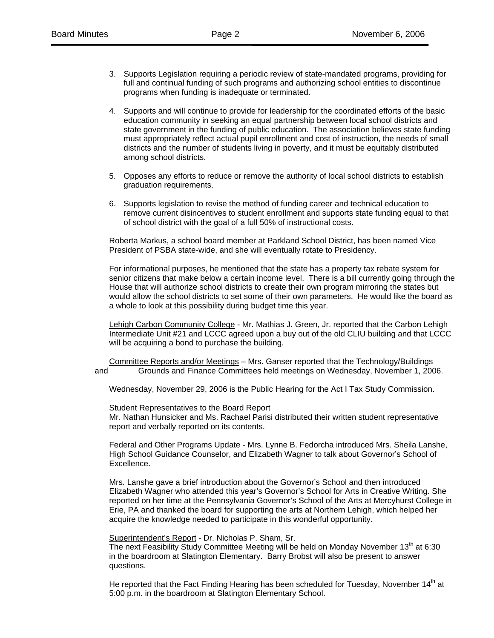- 3. Supports Legislation requiring a periodic review of state-mandated programs, providing for full and continual funding of such programs and authorizing school entities to discontinue programs when funding is inadequate or terminated.
- 4. Supports and will continue to provide for leadership for the coordinated efforts of the basic education community in seeking an equal partnership between local school districts and state government in the funding of public education. The association believes state funding must appropriately reflect actual pupil enrollment and cost of instruction, the needs of small districts and the number of students living in poverty, and it must be equitably distributed among school districts.
- 5. Opposes any efforts to reduce or remove the authority of local school districts to establish graduation requirements.
- 6. Supports legislation to revise the method of funding career and technical education to remove current disincentives to student enrollment and supports state funding equal to that of school district with the goal of a full 50% of instructional costs.

 Roberta Markus, a school board member at Parkland School District, has been named Vice President of PSBA state-wide, and she will eventually rotate to Presidency.

 For informational purposes, he mentioned that the state has a property tax rebate system for senior citizens that make below a certain income level. There is a bill currently going through the House that will authorize school districts to create their own program mirroring the states but would allow the school districts to set some of their own parameters. He would like the board as a whole to look at this possibility during budget time this year.

Lehigh Carbon Community College - Mr. Mathias J. Green, Jr. reported that the Carbon Lehigh Intermediate Unit #21 and LCCC agreed upon a buy out of the old CLIU building and that LCCC will be acquiring a bond to purchase the building.

Committee Reports and/or Meetings – Mrs. Ganser reported that the Technology/Buildings and Grounds and Finance Committees held meetings on Wednesday, November 1, 2006.

Wednesday, November 29, 2006 is the Public Hearing for the Act I Tax Study Commission.

Student Representatives to the Board Report

Mr. Nathan Hunsicker and Ms. Rachael Parisi distributed their written student representative report and verbally reported on its contents.

Federal and Other Programs Update - Mrs. Lynne B. Fedorcha introduced Mrs. Sheila Lanshe, High School Guidance Counselor, and Elizabeth Wagner to talk about Governor's School of Excellence.

 Mrs. Lanshe gave a brief introduction about the Governor's School and then introduced Elizabeth Wagner who attended this year's Governor's School for Arts in Creative Writing. She reported on her time at the Pennsylvania Governor's School of the Arts at Mercyhurst College in Erie, PA and thanked the board for supporting the arts at Northern Lehigh, which helped her acquire the knowledge needed to participate in this wonderful opportunity.

Superintendent's Report - Dr. Nicholas P. Sham, Sr.

The next Feasibility Study Committee Meeting will be held on Monday November  $13<sup>th</sup>$  at 6:30 in the boardroom at Slatington Elementary. Barry Brobst will also be present to answer questions.

He reported that the Fact Finding Hearing has been scheduled for Tuesday, November 14<sup>th</sup> at 5:00 p.m. in the boardroom at Slatington Elementary School.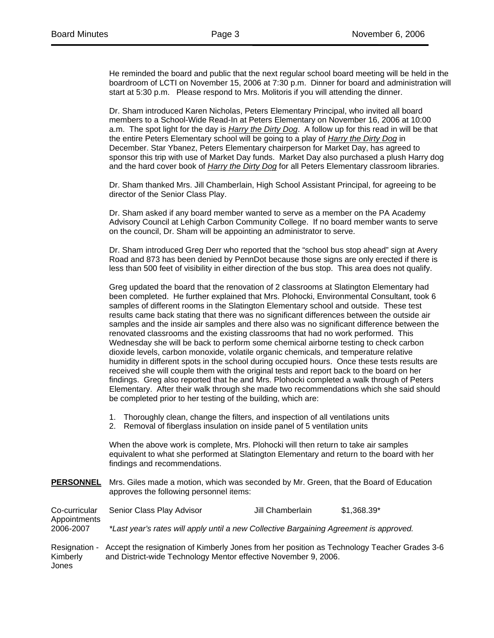Jones

He reminded the board and public that the next regular school board meeting will be held in the boardroom of LCTI on November 15, 2006 at 7:30 p.m. Dinner for board and administration will start at 5:30 p.m. Please respond to Mrs. Molitoris if you will attending the dinner.

Dr. Sham introduced Karen Nicholas, Peters Elementary Principal, who invited all board members to a School-Wide Read-In at Peters Elementary on November 16, 2006 at 10:00 a.m. The spot light for the day is *Harry the Dirty Dog*. A follow up for this read in will be that the entire Peters Elementary school will be going to a play of *Harry the Dirty Dog* in December. Star Ybanez, Peters Elementary chairperson for Market Day, has agreed to sponsor this trip with use of Market Day funds. Market Day also purchased a plush Harry dog and the hard cover book of *Harry the Dirty Dog* for all Peters Elementary classroom libraries.

Dr. Sham thanked Mrs. Jill Chamberlain, High School Assistant Principal, for agreeing to be director of the Senior Class Play.

Dr. Sham asked if any board member wanted to serve as a member on the PA Academy Advisory Council at Lehigh Carbon Community College. If no board member wants to serve on the council, Dr. Sham will be appointing an administrator to serve.

Dr. Sham introduced Greg Derr who reported that the "school bus stop ahead" sign at Avery Road and 873 has been denied by PennDot because those signs are only erected if there is less than 500 feet of visibility in either direction of the bus stop. This area does not qualify.

Greg updated the board that the renovation of 2 classrooms at Slatington Elementary had been completed. He further explained that Mrs. Plohocki, Environmental Consultant, took 6 samples of different rooms in the Slatington Elementary school and outside. These test results came back stating that there was no significant differences between the outside air samples and the inside air samples and there also was no significant difference between the renovated classrooms and the existing classrooms that had no work performed. This Wednesday she will be back to perform some chemical airborne testing to check carbon dioxide levels, carbon monoxide, volatile organic chemicals, and temperature relative humidity in different spots in the school during occupied hours. Once these tests results are received she will couple them with the original tests and report back to the board on her findings. Greg also reported that he and Mrs. Plohocki completed a walk through of Peters Elementary. After their walk through she made two recommendations which she said should be completed prior to her testing of the building, which are:

- 1. Thoroughly clean, change the filters, and inspection of all ventilations units
- 2. Removal of fiberglass insulation on inside panel of 5 ventilation units

When the above work is complete, Mrs. Plohocki will then return to take air samples equivalent to what she performed at Slatington Elementary and return to the board with her findings and recommendations.

**PERSONNEL** Mrs. Giles made a motion, which was seconded by Mr. Green, that the Board of Education approves the following personnel items:

Co-curricular Senior Class Play Advisor Jill Chamberlain \$1,368.39\* Appointments 2006-2007 *\*Last year's rates will apply until a new Collective Bargaining Agreement is approved.* Resignation - Accept the resignation of Kimberly Jones from her position as Technology Teacher Grades 3-6 Kimberly and District-wide Technology Mentor effective November 9, 2006.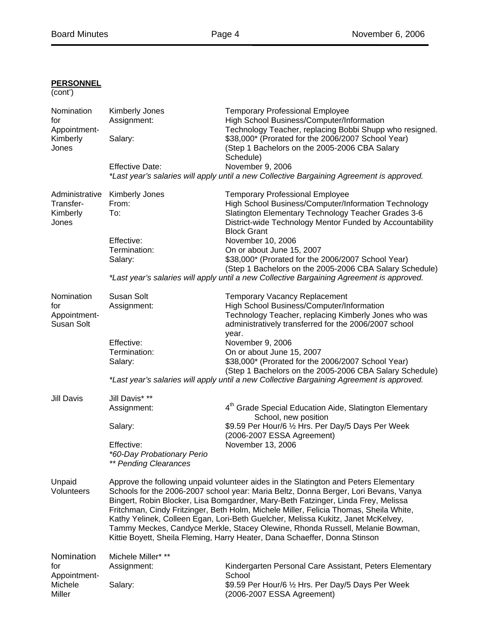# (cont') Nomination Kimberly Jones Temporary Professional Employee for Assignment: High School Business/Computer/Information Appointment- Technology Teacher, replacing Bobbi Shupp who resigned. Kimberly Salary:  $\bullet$  \$38,000\* (Prorated for the 2006/2007 School Year) Jones (Step 1 Bachelors on the 2005-2006 CBA Salary Schedule) Effective Date: November 9, 2006 *\*Last year's salaries will apply until a new Collective Bargaining Agreement is approved.*  Administrative Kimberly Jones Temporary Professional Employee Transfer- From: High School Business/Computer/Information Technology Kimberly To: The Slatington Elementary Technology Teacher Grades 3-6 Jones District-wide Technology Mentor Funded by Accountability Block Grant Effective: November 10, 2006 Termination: On or about June 15, 2007 Salary:  $$38,000*$  (Prorated for the 2006/2007 School Year) (Step 1 Bachelors on the 2005-2006 CBA Salary Schedule) *\*Last year's salaries will apply until a new Collective Bargaining Agreement is approved.* Nomination Susan Solt **Temporary Vacancy Replacement** for distribution and Assignment: Assignment: High School Business/Computer/Information<br>Technology Teacher, replacing Kimberly Jone Appointment-<br>
Technology Teacher, replacing Kimberly Jones who was<br>
administratively transferred for the 2006/2007 school administratively transferred for the 2006/2007 school year. Effective: November 9, 2006 Termination: On or about June 15, 2007 Salary:  $$38,000*$  (Prorated for the 2006/2007 School Year) (Step 1 Bachelors on the 2005-2006 CBA Salary Schedule) *\*Last year's salaries will apply until a new Collective Bargaining Agreement is approved.*  Jill Davis Jill Davis\* \*\* Assignment: 4<sup>th</sup> Grade Special Education Aide, Slatington Elementary School, new position Salary:  $$9.59$  Per Hour/6  $\frac{1}{2}$  Hrs. Per Day/5 Days Per Week (2006-2007 ESSA Agreement) Effective: November 13, 2006  *\*60-Day Probationary Perio \*\* Pending Clearances*  Unpaid Approve the following unpaid volunteer aides in the Slatington and Peters Elementary Volunteers Schools for the 2006-2007 school year: Maria Beltz, Donna Berger, Lori Bevans, Vanya Bingert, Robin Blocker, Lisa Bomgardner, Mary-Beth Fatzinger, Linda Frey, Melissa Fritchman, Cindy Fritzinger, Beth Holm, Michele Miller, Felicia Thomas, Sheila White, Kathy Yelinek, Colleen Egan, Lori-Beth Guelcher, Melissa Kukitz, Janet McKelvey, Tammy Meckes, Candyce Merkle, Stacey Olewine, Rhonda Russell, Melanie Bowman, Kittie Boyett, Sheila Fleming, Harry Heater, Dana Schaeffer, Donna Stinson Nomination Michele Miller\* \*\* for Assignment: Kindergarten Personal Care Assistant, Peters Elementary Appointment-<br>
School Michele Salary:  $$9.59$  Per Hour/6  $\frac{1}{2}$  Hrs. Per Day/5 Days Per Week Miller (2006-2007 ESSA Agreement)

# **PERSONNEL**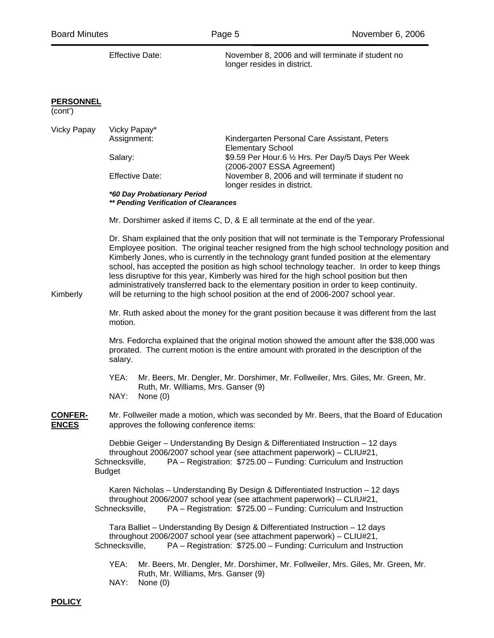|                                | <b>Effective Date:</b>                                                                                                                                                                                                                                                                                                                                                                                                                                                                                                                                                                                                                                                                                                                                       | November 8, 2006 and will terminate if student no<br>longer resides in district.                                                                                                                                                                 |  |  |
|--------------------------------|--------------------------------------------------------------------------------------------------------------------------------------------------------------------------------------------------------------------------------------------------------------------------------------------------------------------------------------------------------------------------------------------------------------------------------------------------------------------------------------------------------------------------------------------------------------------------------------------------------------------------------------------------------------------------------------------------------------------------------------------------------------|--------------------------------------------------------------------------------------------------------------------------------------------------------------------------------------------------------------------------------------------------|--|--|
| <b>PERSONNEL</b><br>(cont')    |                                                                                                                                                                                                                                                                                                                                                                                                                                                                                                                                                                                                                                                                                                                                                              |                                                                                                                                                                                                                                                  |  |  |
| <b>Vicky Papay</b>             | Vicky Papay*<br>Assignment:<br>Salary:<br><b>Effective Date:</b><br>*60 Day Probationary Period                                                                                                                                                                                                                                                                                                                                                                                                                                                                                                                                                                                                                                                              | Kindergarten Personal Care Assistant, Peters<br><b>Elementary School</b><br>\$9.59 Per Hour.6 1/2 Hrs. Per Day/5 Days Per Week<br>(2006-2007 ESSA Agreement)<br>November 8, 2006 and will terminate if student no<br>longer resides in district. |  |  |
|                                | ** Pending Verification of Clearances                                                                                                                                                                                                                                                                                                                                                                                                                                                                                                                                                                                                                                                                                                                        |                                                                                                                                                                                                                                                  |  |  |
| Kimberly                       | Mr. Dorshimer asked if items C, D, & E all terminate at the end of the year.<br>Dr. Sham explained that the only position that will not terminate is the Temporary Professional<br>Employee position. The original teacher resigned from the high school technology position and<br>Kimberly Jones, who is currently in the technology grant funded position at the elementary<br>school, has accepted the position as high school technology teacher. In order to keep things<br>less disruptive for this year, Kimberly was hired for the high school position but then<br>administratively transferred back to the elementary position in order to keep continuity.<br>will be returning to the high school position at the end of 2006-2007 school year. |                                                                                                                                                                                                                                                  |  |  |
|                                | Mr. Ruth asked about the money for the grant position because it was different from the last<br>motion.                                                                                                                                                                                                                                                                                                                                                                                                                                                                                                                                                                                                                                                      |                                                                                                                                                                                                                                                  |  |  |
|                                | Mrs. Fedorcha explained that the original motion showed the amount after the \$38,000 was<br>prorated. The current motion is the entire amount with prorated in the description of the<br>salary.                                                                                                                                                                                                                                                                                                                                                                                                                                                                                                                                                            |                                                                                                                                                                                                                                                  |  |  |
|                                | YEA:<br>Ruth, Mr. Williams, Mrs. Ganser (9)<br>NAY:<br>None $(0)$                                                                                                                                                                                                                                                                                                                                                                                                                                                                                                                                                                                                                                                                                            | Mr. Beers, Mr. Dengler, Mr. Dorshimer, Mr. Follweiler, Mrs. Giles, Mr. Green, Mr.                                                                                                                                                                |  |  |
| <b>CONFER-</b><br><b>ENCES</b> | Mr. Follweiler made a motion, which was seconded by Mr. Beers, that the Board of Education<br>approves the following conference items:                                                                                                                                                                                                                                                                                                                                                                                                                                                                                                                                                                                                                       |                                                                                                                                                                                                                                                  |  |  |
|                                | Schnecksville,<br><b>Budget</b>                                                                                                                                                                                                                                                                                                                                                                                                                                                                                                                                                                                                                                                                                                                              | Debbie Geiger - Understanding By Design & Differentiated Instruction - 12 days<br>throughout 2006/2007 school year (see attachment paperwork) - CLIU#21,<br>PA - Registration: \$725.00 - Funding: Curriculum and Instruction                    |  |  |
|                                | Schnecksville,                                                                                                                                                                                                                                                                                                                                                                                                                                                                                                                                                                                                                                                                                                                                               | Karen Nicholas – Understanding By Design & Differentiated Instruction – 12 days<br>throughout 2006/2007 school year (see attachment paperwork) - CLIU#21,<br>PA - Registration: \$725.00 - Funding: Curriculum and Instruction                   |  |  |
|                                | Tara Balliet - Understanding By Design & Differentiated Instruction - 12 days<br>throughout 2006/2007 school year (see attachment paperwork) - CLIU#21,<br>PA - Registration: \$725.00 - Funding: Curriculum and Instruction<br>Schnecksville,                                                                                                                                                                                                                                                                                                                                                                                                                                                                                                               |                                                                                                                                                                                                                                                  |  |  |
|                                | YEA:<br>Ruth, Mr. Williams, Mrs. Ganser (9)<br>NAY:<br>None $(0)$                                                                                                                                                                                                                                                                                                                                                                                                                                                                                                                                                                                                                                                                                            | Mr. Beers, Mr. Dengler, Mr. Dorshimer, Mr. Follweiler, Mrs. Giles, Mr. Green, Mr.                                                                                                                                                                |  |  |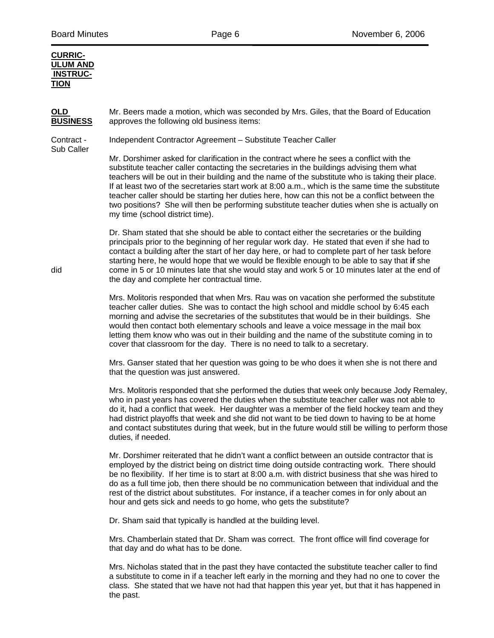#### **CURRIC-ULUM AND INSTRUC-TION**

**OLD** Mr. Beers made a motion, which was seconded by Mrs. Giles, that the Board of Education **BUSINESS** approves the following old business items:

Contract - Independent Contractor Agreement – Substitute Teacher Caller

Sub Caller

Mr. Dorshimer asked for clarification in the contract where he sees a conflict with the substitute teacher caller contacting the secretaries in the buildings advising them what teachers will be out in their building and the name of the substitute who is taking their place. If at least two of the secretaries start work at 8:00 a.m., which is the same time the substitute teacher caller should be starting her duties here, how can this not be a conflict between the two positions? She will then be performing substitute teacher duties when she is actually on my time (school district time).

Dr. Sham stated that she should be able to contact either the secretaries or the building principals prior to the beginning of her regular work day. He stated that even if she had to contact a building after the start of her day here, or had to complete part of her task before starting here, he would hope that we would be flexible enough to be able to say that **if** she did come in 5 or 10 minutes late that she would stay and work 5 or 10 minutes later at the end of the day and complete her contractual time.

> Mrs. Molitoris responded that when Mrs. Rau was on vacation she performed the substitute teacher caller duties. She was to contact the high school and middle school by 6:45 each morning and advise the secretaries of the substitutes that would be in their buildings. She would then contact both elementary schools and leave a voice message in the mail box letting them know who was out in their building and the name of the substitute coming in to cover that classroom for the day. There is no need to talk to a secretary.

> Mrs. Ganser stated that her question was going to be who does it when she is not there and that the question was just answered.

Mrs. Molitoris responded that she performed the duties that week only because Jody Remaley, who in past years has covered the duties when the substitute teacher caller was not able to do it, had a conflict that week. Her daughter was a member of the field hockey team and they had district playoffs that week and she did not want to be tied down to having to be at home and contact substitutes during that week, but in the future would still be willing to perform those duties, if needed.

Mr. Dorshimer reiterated that he didn't want a conflict between an outside contractor that is employed by the district being on district time doing outside contracting work. There should be no flexibility. If her time is to start at 8:00 a.m. with district business that she was hired to do as a full time job, then there should be no communication between that individual and the rest of the district about substitutes. For instance, if a teacher comes in for only about an hour and gets sick and needs to go home, who gets the substitute?

Dr. Sham said that typically is handled at the building level.

Mrs. Chamberlain stated that Dr. Sham was correct. The front office will find coverage for that day and do what has to be done.

Mrs. Nicholas stated that in the past they have contacted the substitute teacher caller to find a substitute to come in if a teacher left early in the morning and they had no one to cover the class. She stated that we have not had that happen this year yet, but that it has happened in the past.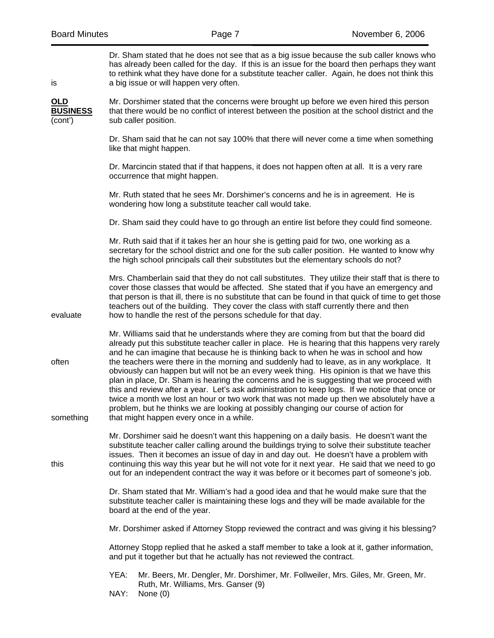| is                                  | Dr. Sham stated that he does not see that as a big issue because the sub caller knows who<br>has already been called for the day. If this is an issue for the board then perhaps they want<br>to rethink what they have done for a substitute teacher caller. Again, he does not think this<br>a big issue or will happen very often.                                                                                                                                                                                                                                                                                                                                                                                                                                                                                                                                                                        |  |  |
|-------------------------------------|--------------------------------------------------------------------------------------------------------------------------------------------------------------------------------------------------------------------------------------------------------------------------------------------------------------------------------------------------------------------------------------------------------------------------------------------------------------------------------------------------------------------------------------------------------------------------------------------------------------------------------------------------------------------------------------------------------------------------------------------------------------------------------------------------------------------------------------------------------------------------------------------------------------|--|--|
| $OLD$<br><b>BUSINESS</b><br>(cont') | Mr. Dorshimer stated that the concerns were brought up before we even hired this person<br>that there would be no conflict of interest between the position at the school district and the<br>sub caller position.                                                                                                                                                                                                                                                                                                                                                                                                                                                                                                                                                                                                                                                                                           |  |  |
|                                     | Dr. Sham said that he can not say 100% that there will never come a time when something<br>like that might happen.                                                                                                                                                                                                                                                                                                                                                                                                                                                                                                                                                                                                                                                                                                                                                                                           |  |  |
|                                     | Dr. Marcincin stated that if that happens, it does not happen often at all. It is a very rare<br>occurrence that might happen.                                                                                                                                                                                                                                                                                                                                                                                                                                                                                                                                                                                                                                                                                                                                                                               |  |  |
|                                     | Mr. Ruth stated that he sees Mr. Dorshimer's concerns and he is in agreement. He is<br>wondering how long a substitute teacher call would take.                                                                                                                                                                                                                                                                                                                                                                                                                                                                                                                                                                                                                                                                                                                                                              |  |  |
|                                     | Dr. Sham said they could have to go through an entire list before they could find someone.                                                                                                                                                                                                                                                                                                                                                                                                                                                                                                                                                                                                                                                                                                                                                                                                                   |  |  |
|                                     | Mr. Ruth said that if it takes her an hour she is getting paid for two, one working as a<br>secretary for the school district and one for the sub caller position. He wanted to know why<br>the high school principals call their substitutes but the elementary schools do not?                                                                                                                                                                                                                                                                                                                                                                                                                                                                                                                                                                                                                             |  |  |
| evaluate                            | Mrs. Chamberlain said that they do not call substitutes. They utilize their staff that is there to<br>cover those classes that would be affected. She stated that if you have an emergency and<br>that person is that ill, there is no substitute that can be found in that quick of time to get those<br>teachers out of the building. They cover the class with staff currently there and then<br>how to handle the rest of the persons schedule for that day.                                                                                                                                                                                                                                                                                                                                                                                                                                             |  |  |
| often<br>something                  | Mr. Williams said that he understands where they are coming from but that the board did<br>already put this substitute teacher caller in place. He is hearing that this happens very rarely<br>and he can imagine that because he is thinking back to when he was in school and how<br>the teachers were there in the morning and suddenly had to leave, as in any workplace. It<br>obviously can happen but will not be an every week thing. His opinion is that we have this<br>plan in place, Dr. Sham is hearing the concerns and he is suggesting that we proceed with<br>this and review after a year. Let's ask administration to keep logs. If we notice that once or<br>twice a month we lost an hour or two work that was not made up then we absolutely have a<br>problem, but he thinks we are looking at possibly changing our course of action for<br>that might happen every once in a while. |  |  |
| this                                | Mr. Dorshimer said he doesn't want this happening on a daily basis. He doesn't want the<br>substitute teacher caller calling around the buildings trying to solve their substitute teacher<br>issues. Then it becomes an issue of day in and day out. He doesn't have a problem with<br>continuing this way this year but he will not vote for it next year. He said that we need to go<br>out for an independent contract the way it was before or it becomes part of someone's job.                                                                                                                                                                                                                                                                                                                                                                                                                        |  |  |
|                                     | Dr. Sham stated that Mr. William's had a good idea and that he would make sure that the<br>substitute teacher caller is maintaining these logs and they will be made available for the<br>board at the end of the year.                                                                                                                                                                                                                                                                                                                                                                                                                                                                                                                                                                                                                                                                                      |  |  |
|                                     | Mr. Dorshimer asked if Attorney Stopp reviewed the contract and was giving it his blessing?                                                                                                                                                                                                                                                                                                                                                                                                                                                                                                                                                                                                                                                                                                                                                                                                                  |  |  |
|                                     | Attorney Stopp replied that he asked a staff member to take a look at it, gather information,<br>and put it together but that he actually has not reviewed the contract.                                                                                                                                                                                                                                                                                                                                                                                                                                                                                                                                                                                                                                                                                                                                     |  |  |
|                                     | YEA:<br>Mr. Beers, Mr. Dengler, Mr. Dorshimer, Mr. Follweiler, Mrs. Giles, Mr. Green, Mr.<br>Ruth, Mr. Williams, Mrs. Ganser (9)<br>NAY:<br>None $(0)$                                                                                                                                                                                                                                                                                                                                                                                                                                                                                                                                                                                                                                                                                                                                                       |  |  |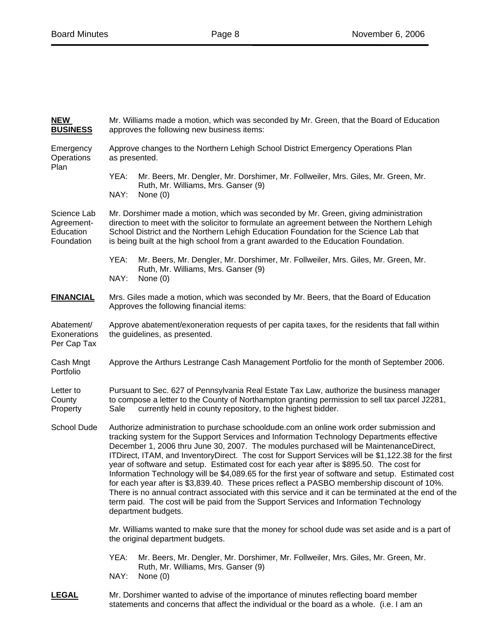| <b>NEW</b><br><b>BUSINESS</b>                        | Mr. Williams made a motion, which was seconded by Mr. Green, that the Board of Education<br>approves the following new business items:                                                                                                                                                                                                                                                                                                                                                                                                                                                                                                                                                                                                                                                                                                                                                                       |  |  |
|------------------------------------------------------|--------------------------------------------------------------------------------------------------------------------------------------------------------------------------------------------------------------------------------------------------------------------------------------------------------------------------------------------------------------------------------------------------------------------------------------------------------------------------------------------------------------------------------------------------------------------------------------------------------------------------------------------------------------------------------------------------------------------------------------------------------------------------------------------------------------------------------------------------------------------------------------------------------------|--|--|
| Emergency<br>Operations                              | Approve changes to the Northern Lehigh School District Emergency Operations Plan<br>as presented.                                                                                                                                                                                                                                                                                                                                                                                                                                                                                                                                                                                                                                                                                                                                                                                                            |  |  |
| Plan                                                 | YEA:<br>Mr. Beers, Mr. Dengler, Mr. Dorshimer, Mr. Follweiler, Mrs. Giles, Mr. Green, Mr.<br>Ruth, Mr. Williams, Mrs. Ganser (9)<br>NAY:<br>None $(0)$                                                                                                                                                                                                                                                                                                                                                                                                                                                                                                                                                                                                                                                                                                                                                       |  |  |
| Science Lab<br>Agreement-<br>Education<br>Foundation | Mr. Dorshimer made a motion, which was seconded by Mr. Green, giving administration<br>direction to meet with the solicitor to formulate an agreement between the Northern Lehigh<br>School District and the Northern Lehigh Education Foundation for the Science Lab that<br>is being built at the high school from a grant awarded to the Education Foundation.                                                                                                                                                                                                                                                                                                                                                                                                                                                                                                                                            |  |  |
|                                                      | YEA:<br>Mr. Beers, Mr. Dengler, Mr. Dorshimer, Mr. Follweiler, Mrs. Giles, Mr. Green, Mr.<br>Ruth, Mr. Williams, Mrs. Ganser (9)<br>NAY:<br>None $(0)$                                                                                                                                                                                                                                                                                                                                                                                                                                                                                                                                                                                                                                                                                                                                                       |  |  |
| <b>FINANCIAL</b>                                     | Mrs. Giles made a motion, which was seconded by Mr. Beers, that the Board of Education<br>Approves the following financial items:                                                                                                                                                                                                                                                                                                                                                                                                                                                                                                                                                                                                                                                                                                                                                                            |  |  |
| Abatement/<br>Exonerations<br>Per Cap Tax            | Approve abatement/exoneration requests of per capita taxes, for the residents that fall within<br>the guidelines, as presented.                                                                                                                                                                                                                                                                                                                                                                                                                                                                                                                                                                                                                                                                                                                                                                              |  |  |
| Cash Mngt<br>Portfolio                               | Approve the Arthurs Lestrange Cash Management Portfolio for the month of September 2006.                                                                                                                                                                                                                                                                                                                                                                                                                                                                                                                                                                                                                                                                                                                                                                                                                     |  |  |
| Letter to<br>County<br>Property                      | Pursuant to Sec. 627 of Pennsylvania Real Estate Tax Law, authorize the business manager<br>to compose a letter to the County of Northampton granting permission to sell tax parcel J2281,<br>currently held in county repository, to the highest bidder.<br>Sale                                                                                                                                                                                                                                                                                                                                                                                                                                                                                                                                                                                                                                            |  |  |
| School Dude                                          | Authorize administration to purchase schooldude.com an online work order submission and<br>tracking system for the Support Services and Information Technology Departments effective<br>December 1, 2006 thru June 30, 2007. The modules purchased will be MaintenanceDirect,<br>ITDirect, ITAM, and InventoryDirect. The cost for Support Services will be \$1,122.38 for the first<br>year of software and setup. Estimated cost for each year after is \$895.50. The cost for<br>Information Technology will be \$4,089.65 for the first year of software and setup. Estimated cost<br>for each year after is \$3,839.40. These prices reflect a PASBO membership discount of 10%.<br>There is no annual contract associated with this service and it can be terminated at the end of the<br>term paid. The cost will be paid from the Support Services and Information Technology<br>department budgets. |  |  |
|                                                      | Mr. Williams wanted to make sure that the money for school dude was set aside and is a part of<br>the original department budgets.                                                                                                                                                                                                                                                                                                                                                                                                                                                                                                                                                                                                                                                                                                                                                                           |  |  |
|                                                      | YEA:<br>Mr. Beers, Mr. Dengler, Mr. Dorshimer, Mr. Follweiler, Mrs. Giles, Mr. Green, Mr.<br>Ruth, Mr. Williams, Mrs. Ganser (9)<br>NAY:<br>None $(0)$                                                                                                                                                                                                                                                                                                                                                                                                                                                                                                                                                                                                                                                                                                                                                       |  |  |
| <u>LEGAL</u>                                         | Mr. Dorshimer wanted to advise of the importance of minutes reflecting board member<br>statements and concerns that affect the individual or the board as a whole. (i.e. I am an                                                                                                                                                                                                                                                                                                                                                                                                                                                                                                                                                                                                                                                                                                                             |  |  |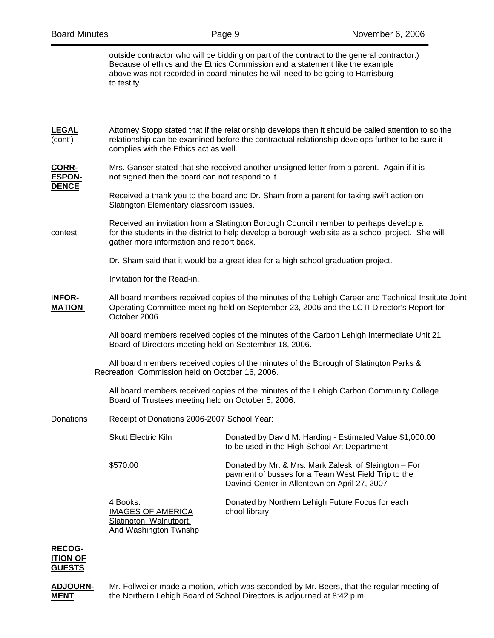outside contractor who will be bidding on part of the contract to the general contractor.) Because of ethics and the Ethics Commission and a statement like the example above was not recorded in board minutes he will need to be going to Harrisburg to testify.

| <b>LEGAL</b><br>(cont')                | complies with the Ethics act as well.                                                                                                                                                                                                 | Attorney Stopp stated that if the relationship develops then it should be called attention to so the<br>relationship can be examined before the contractual relationship develops further to be sure it |  |  |
|----------------------------------------|---------------------------------------------------------------------------------------------------------------------------------------------------------------------------------------------------------------------------------------|---------------------------------------------------------------------------------------------------------------------------------------------------------------------------------------------------------|--|--|
| CORR-<br><b>ESPON-</b><br><b>DENCE</b> |                                                                                                                                                                                                                                       | Mrs. Ganser stated that she received another unsigned letter from a parent. Again if it is<br>not signed then the board can not respond to it.                                                          |  |  |
|                                        |                                                                                                                                                                                                                                       | Received a thank you to the board and Dr. Sham from a parent for taking swift action on<br>Slatington Elementary classroom issues.                                                                      |  |  |
| contest                                | Received an invitation from a Slatington Borough Council member to perhaps develop a<br>for the students in the district to help develop a borough web site as a school project. She will<br>gather more information and report back. |                                                                                                                                                                                                         |  |  |
|                                        | Dr. Sham said that it would be a great idea for a high school graduation project.                                                                                                                                                     |                                                                                                                                                                                                         |  |  |
|                                        |                                                                                                                                                                                                                                       | Invitation for the Read-in.                                                                                                                                                                             |  |  |
| <b>INFOR-</b><br><b>MATION</b>         | October 2006.                                                                                                                                                                                                                         | All board members received copies of the minutes of the Lehigh Career and Technical Institute Joint<br>Operating Committee meeting held on September 23, 2006 and the LCTI Director's Report for        |  |  |
|                                        |                                                                                                                                                                                                                                       | All board members received copies of the minutes of the Carbon Lehigh Intermediate Unit 21<br>Board of Directors meeting held on September 18, 2006.                                                    |  |  |
|                                        | All board members received copies of the minutes of the Borough of Slatington Parks &<br>Recreation Commission held on October 16, 2006.                                                                                              |                                                                                                                                                                                                         |  |  |
|                                        |                                                                                                                                                                                                                                       | All board members received copies of the minutes of the Lehigh Carbon Community College<br>Board of Trustees meeting held on October 5, 2006.                                                           |  |  |
| Donations                              | Receipt of Donations 2006-2007 School Year:                                                                                                                                                                                           |                                                                                                                                                                                                         |  |  |
|                                        | <b>Skutt Electric Kiln</b>                                                                                                                                                                                                            | Donated by David M. Harding - Estimated Value \$1,000.00<br>to be used in the High School Art Department                                                                                                |  |  |
|                                        | \$570.00                                                                                                                                                                                                                              | Donated by Mr. & Mrs. Mark Zaleski of Slaington - For<br>payment of busses for a Team West Field Trip to the<br>Davinci Center in Allentown on April 27, 2007                                           |  |  |
|                                        | 4 Books:<br><b>IMAGES OF AMERICA</b><br>Slatington, Walnutport,<br>And Washington Twnshp                                                                                                                                              | Donated by Northern Lehigh Future Focus for each<br>chool library                                                                                                                                       |  |  |
|                                        |                                                                                                                                                                                                                                       |                                                                                                                                                                                                         |  |  |



**ADJOURN-** Mr. Follweiler made a motion, which was seconded by Mr. Beers, that the regular meeting of **MENT** the Northern Lehigh Board of School Directors is adjourned at 8:42 p.m.